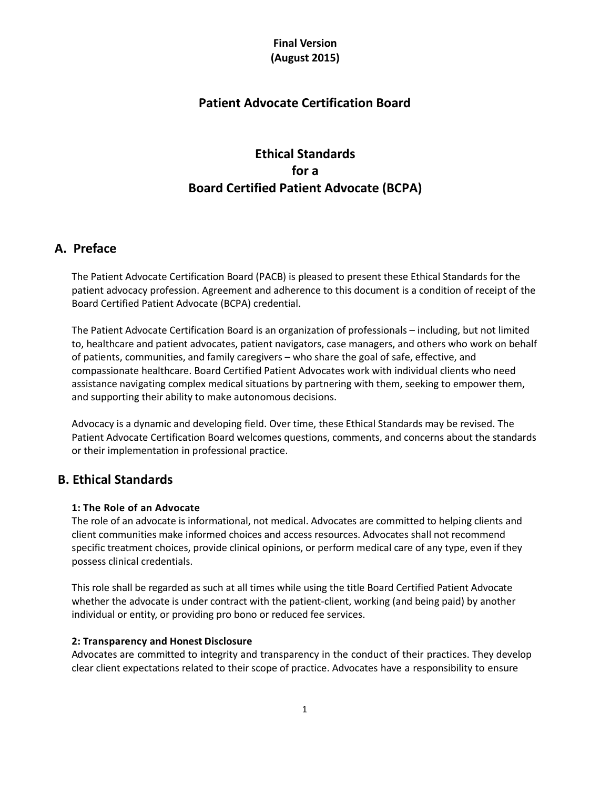# **Patient Advocate Certification Board**

# **Ethical Standards for a Board Certified Patient Advocate (BCPA)**

### **A. Preface**

The Patient Advocate Certification Board (PACB) is pleased to present these Ethical Standards for the patient advocacy profession. Agreement and adherence to this document is a condition of receipt of the Board Certified Patient Advocate (BCPA) credential.

The Patient Advocate Certification Board is an organization of professionals – including, but not limited to, healthcare and patient advocates, patient navigators, case managers, and others who work on behalf of patients, communities, and family caregivers – who share the goal of safe, effective, and compassionate healthcare. Board Certified Patient Advocates work with individual clients who need assistance navigating complex medical situations by partnering with them, seeking to empower them, and supporting their ability to make autonomous decisions.

Advocacy is a dynamic and developing field. Over time, these Ethical Standards may be revised. The Patient Advocate Certification Board welcomes questions, comments, and concerns about the standards or their implementation in professional practice.

### **B. Ethical Standards**

### **1: The Role of an Advocate**

The role of an advocate is informational, not medical. Advocates are committed to helping clients and client communities make informed choices and access resources. Advocates shall not recommend specific treatment choices, provide clinical opinions, or perform medical care of any type, even if they possess clinical credentials.

This role shall be regarded as such at all times while using the title Board Certified Patient Advocate whether the advocate is under contract with the patient-client, working (and being paid) by another individual or entity, or providing pro bono or reduced fee services.

### **2: Transparency and Honest Disclosure**

Advocates are committed to integrity and transparency in the conduct of their practices. They develop clear client expectations related to their scope of practice. Advocates have a responsibility to ensure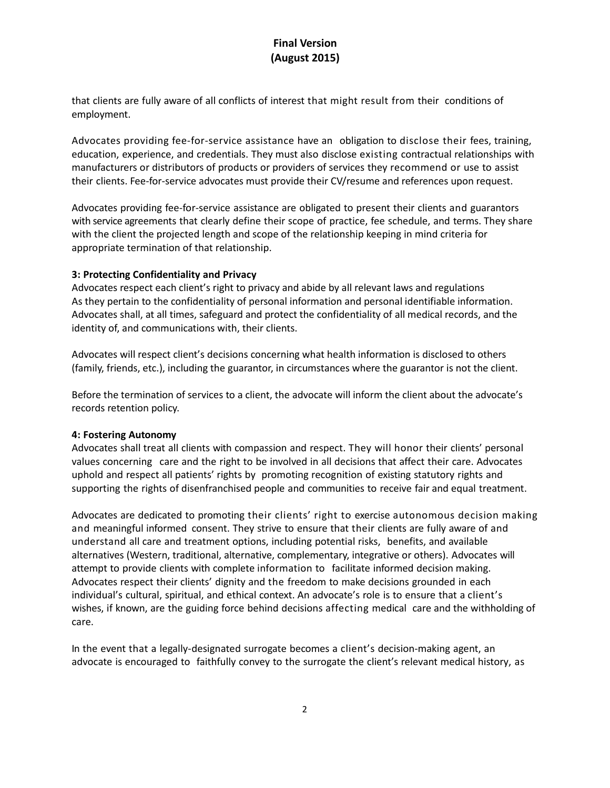that clients are fully aware of all conflicts of interest that might result from their conditions of employment.

Advocates providing fee-for-service assistance have an obligation to disclose their fees, training, education, experience, and credentials. They must also disclose existing contractual relationships with manufacturers or distributors of products or providers of services they recommend or use to assist their clients. Fee-for-service advocates must provide their CV/resume and references upon request.

Advocates providing fee-for-service assistance are obligated to present their clients and guarantors with service agreements that clearly define their scope of practice, fee schedule, and terms. They share with the client the projected length and scope of the relationship keeping in mind criteria for appropriate termination of that relationship.

### **3: Protecting Confidentiality and Privacy**

Advocates respect each client's right to privacy and abide by all relevant laws and regulations As they pertain to the confidentiality of personal information and personal identifiable information. Advocates shall, at all times, safeguard and protect the confidentiality of all medical records, and the identity of, and communications with, their clients.

Advocates will respect client's decisions concerning what health information is disclosed to others (family, friends, etc.), including the guarantor, in circumstances where the guarantor is not the client.

Before the termination of services to a client, the advocate will inform the client about the advocate's records retention policy.

#### **4: Fostering Autonomy**

Advocates shall treat all clients with compassion and respect. They will honor their clients' personal values concerning care and the right to be involved in all decisions that affect their care. Advocates uphold and respect all patients' rights by promoting recognition of existing statutory rights and supporting the rights of disenfranchised people and communities to receive fair and equal treatment.

Advocates are dedicated to promoting their clients' right to exercise autonomous decision making and meaningful informed consent. They strive to ensure that their clients are fully aware of and understand all care and treatment options, including potential risks, benefits, and available alternatives (Western, traditional, alternative, complementary, integrative or others). Advocates will attempt to provide clients with complete information to facilitate informed decision making. Advocates respect their clients' dignity and the freedom to make decisions grounded in each individual's cultural, spiritual, and ethical context. An advocate's role is to ensure that a client's wishes, if known, are the guiding force behind decisions affecting medical care and the withholding of care.

In the event that a legally-designated surrogate becomes a client's decision-making agent, an advocate is encouraged to faithfully convey to the surrogate the client's relevant medical history, as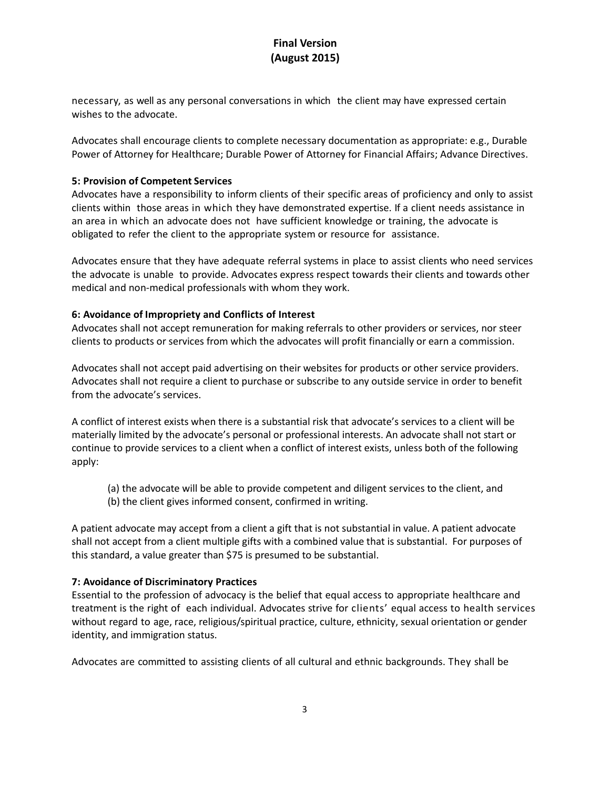necessary, as well as any personal conversations in which the client may have expressed certain wishes to the advocate.

Advocates shall encourage clients to complete necessary documentation as appropriate: e.g., Durable Power of Attorney for Healthcare; Durable Power of Attorney for Financial Affairs; Advance Directives.

#### **5: Provision of Competent Services**

Advocates have a responsibility to inform clients of their specific areas of proficiency and only to assist clients within those areas in which they have demonstrated expertise. If a client needs assistance in an area in which an advocate does not have sufficient knowledge or training, the advocate is obligated to refer the client to the appropriate system or resource for assistance.

Advocates ensure that they have adequate referral systems in place to assist clients who need services the advocate is unable to provide. Advocates express respect towards their clients and towards other medical and non-medical professionals with whom they work.

#### **6: Avoidance of Impropriety and Conflicts of Interest**

Advocates shall not accept remuneration for making referrals to other providers or services, nor steer clients to products or services from which the advocates will profit financially or earn a commission.

Advocates shall not accept paid advertising on their websites for products or other service providers. Advocates shall not require a client to purchase or subscribe to any outside service in order to benefit from the advocate's services.

A conflict of interest exists when there is a substantial risk that advocate's services to a client will be materially limited by the advocate's personal or professional interests. An advocate shall not start or continue to provide services to a client when a conflict of interest exists, unless both of the following apply:

- (a) the advocate will be able to provide competent and diligent services to the client, and
- (b) the client gives informed consent, confirmed in writing.

A patient advocate may accept from a client a gift that is not substantial in value. A patient advocate shall not accept from a client multiple gifts with a combined value that is substantial. For purposes of this standard, a value greater than \$75 is presumed to be substantial.

### **7: Avoidance of Discriminatory Practices**

Essential to the profession of advocacy is the belief that equal access to appropriate healthcare and treatment is the right of each individual. Advocates strive for clients' equal access to health services without regard to age, race, religious/spiritual practice, culture, ethnicity, sexual orientation or gender identity, and immigration status.

Advocates are committed to assisting clients of all cultural and ethnic backgrounds. They shall be